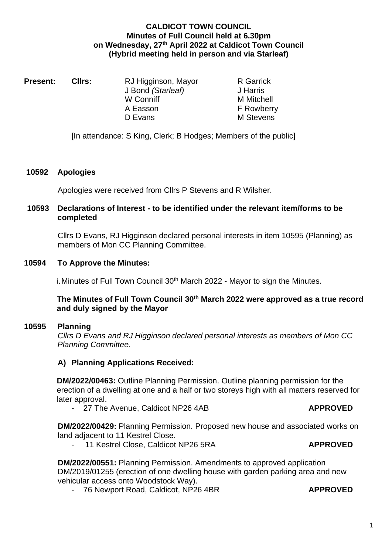# **CALDICOT TOWN COUNCIL Minutes of Full Council held at 6.30pm on Wednesday, 27th April 2022 at Caldicot Town Council (Hybrid meeting held in person and via Starleaf)**

| <b>Present:</b><br>Cllrs: | RJ Higginson, Mayor | <b>R</b> Garrick  |
|---------------------------|---------------------|-------------------|
|                           | J Bond (Starleaf)   | J Harris          |
|                           | W Conniff           | <b>M</b> Mitchell |
|                           | A Easson            | <b>F</b> Rowberry |
|                           | D Evans             | M Stevens         |
|                           |                     |                   |

[In attendance: S King, Clerk; B Hodges; Members of the public]

#### **10592 Apologies**

Apologies were received from Cllrs P Stevens and R Wilsher.

## **10593 Declarations of Interest - to be identified under the relevant item/forms to be completed**

Cllrs D Evans, RJ Higginson declared personal interests in item 10595 (Planning) as members of Mon CC Planning Committee.

#### **10594 To Approve the Minutes:**

i. Minutes of Full Town Council 30<sup>th</sup> March 2022 - Mayor to sign the Minutes.

# **The Minutes of Full Town Council 30th March 2022 were approved as a true record and duly signed by the Mayor**

#### **10595 Planning**

*Cllrs D Evans and RJ Higginson declared personal interests as members of Mon CC Planning Committee.*

# **A) Planning Applications Received:**

**DM/2022/00463:** Outline Planning Permission. Outline planning permission for the erection of a dwelling at one and a half or two storeys high with all matters reserved for later approval.

- 27 The Avenue, Caldicot NP26 4AB **APPROVED**

**DM/2022/00429:** Planning Permission. Proposed new house and associated works on land adjacent to 11 Kestrel Close.

- 11 Kestrel Close, Caldicot NP26 5RA **APPROVED**

**DM/2022/00551:** Planning Permission. Amendments to approved application DM/2019/01255 (erection of one dwelling house with garden parking area and new vehicular access onto Woodstock Way).

- 76 Newport Road, Caldicot, NP26 4BR **APPROVED**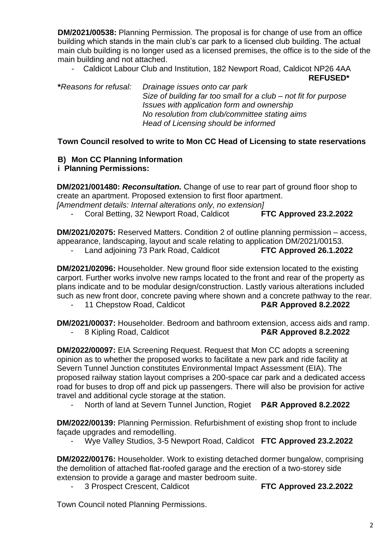**DM/2021/00538:** Planning Permission. The proposal is for change of use from an office building which stands in the main club's car park to a licensed club building. The actual main club building is no longer used as a licensed premises, the office is to the side of the main building and not attached.

- Caldicot Labour Club and Institution, 182 Newport Road, Caldicot NP26 4AA **REFUSED\***

**\****Reasons for refusal: Drainage issues onto car park Size of building far too small for a club – not fit for purpose Issues with application form and ownership No resolution from club/committee stating aims Head of Licensing should be informed* 

**Town Council resolved to write to Mon CC Head of Licensing to state reservations**

#### **B) Mon CC Planning Information i Planning Permissions:**

**DM/2021/001480:** *Reconsultation.* Change of use to rear part of ground floor shop to create an apartment. Proposed extension to first floor apartment. *[Amendment details: Internal alterations only, no extension]*

- Coral Betting, 32 Newport Road, Caldicot **FTC Approved 23.2.2022**

**DM/2021/02075:** Reserved Matters. Condition 2 of outline planning permission – access, appearance, landscaping, layout and scale relating to application DM/2021/00153.

- Land adjoining 73 Park Road, Caldicot **FTC Approved 26.1.2022**

**DM/2021/02096:** Householder. New ground floor side extension located to the existing carport. Further works involve new ramps located to the front and rear of the property as plans indicate and to be modular design/construction. Lastly various alterations included such as new front door, concrete paving where shown and a concrete pathway to the rear.

- 11 Chepstow Road, Caldicot **P&R Approved 8.2.2022**

**DM/2021/00037:** Householder. Bedroom and bathroom extension, access aids and ramp. - 8 Kipling Road, Caldicot **P&R Approved 8.2.2022**

**DM/2022/00097:** EIA Screening Request. Request that Mon CC adopts a screening opinion as to whether the proposed works to facilitate a new park and ride facility at Severn Tunnel Junction constitutes Environmental Impact Assessment (EIA). The proposed railway station layout comprises a 200-space car park and a dedicated access road for buses to drop off and pick up passengers. There will also be provision for active travel and additional cycle storage at the station.

- North of land at Severn Tunnel Junction, Rogiet **P&R Approved 8.2.2022**

**DM/2022/00139:** Planning Permission. Refurbishment of existing shop front to include façade upgrades and remodelling.

- Wye Valley Studios, 3-5 Newport Road, Caldicot **FTC Approved 23.2.2022**

**DM/2022/00176:** Householder. Work to existing detached dormer bungalow, comprising the demolition of attached flat-roofed garage and the erection of a two-storey side extension to provide a garage and master bedroom suite.

- 3 Prospect Crescent, Caldicot **FTC Approved 23.2.2022**

Town Council noted Planning Permissions.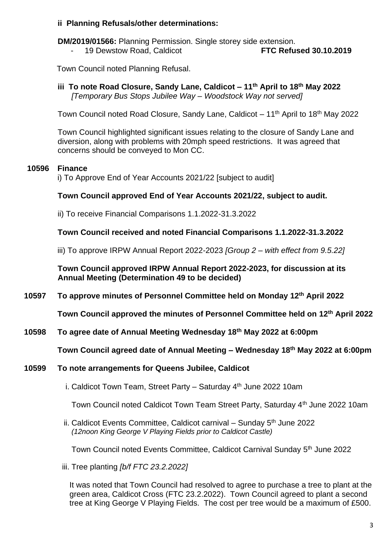# **ii Planning Refusals/other determinations:**

**DM/2019/01566:** Planning Permission. Single storey side extension. - 19 Dewstow Road, Caldicot **FTC Refused 30.10.2019**

Town Council noted Planning Refusal.

**iii To note Road Closure, Sandy Lane, Caldicot – 11th April to 18th May 2022** *[Temporary Bus Stops Jubilee Way – Woodstock Way not served]*

Town Council noted Road Closure, Sandy Lane, Caldicot – 11<sup>th</sup> April to 18<sup>th</sup> May 2022

Town Council highlighted significant issues relating to the closure of Sandy Lane and diversion, along with problems with 20mph speed restrictions. It was agreed that concerns should be conveyed to Mon CC.

# **10596 Finance**

i) To Approve End of Year Accounts 2021/22 [subject to audit]

# **Town Council approved End of Year Accounts 2021/22, subject to audit.**

ii) To receive Financial Comparisons 1.1.2022-31.3.2022

**Town Council received and noted Financial Comparisons 1.1.2022-31.3.2022**

iii) To approve IRPW Annual Report 2022-2023 *[Group 2 – with effect from 9.5.22]*

**Town Council approved IRPW Annual Report 2022-2023, for discussion at its Annual Meeting (Determination 49 to be decided)** 

**10597 To approve minutes of Personnel Committee held on Monday 12 th April 2022**

**Town Council approved the minutes of Personnel Committee held on 12 th April 2022**

**10598 To agree date of Annual Meeting Wednesday 18th May 2022 at 6:00pm**

**Town Council agreed date of Annual Meeting – Wednesday 18th May 2022 at 6:00pm**

#### **10599 To note arrangements for Queens Jubilee, Caldicot**

i. Caldicot Town Team, Street Party – Saturday  $4<sup>th</sup>$  June 2022 10am

Town Council noted Caldicot Town Team Street Party, Saturday 4<sup>th</sup> June 2022 10am

ii. Caldicot Events Committee, Caldicot carnival – Sunday  $5<sup>th</sup>$  June 2022 *(12noon King George V Playing Fields prior to Caldicot Castle)*

Town Council noted Events Committee, Caldicot Carnival Sunday 5th June 2022

iii. Tree planting *[b/f FTC 23.2.2022]*

It was noted that Town Council had resolved to agree to purchase a tree to plant at the green area, Caldicot Cross (FTC 23.2.2022). Town Council agreed to plant a second tree at King George V Playing Fields. The cost per tree would be a maximum of £500.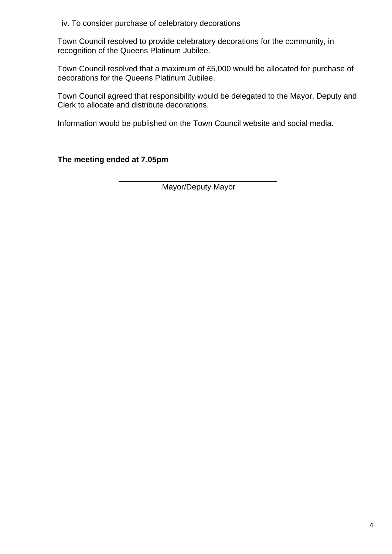iv. To consider purchase of celebratory decorations

Town Council resolved to provide celebratory decorations for the community, in recognition of the Queens Platinum Jubilee.

Town Council resolved that a maximum of £5,000 would be allocated for purchase of decorations for the Queens Platinum Jubilee.

Town Council agreed that responsibility would be delegated to the Mayor, Deputy and Clerk to allocate and distribute decorations.

Information would be published on the Town Council website and social media.

**The meeting ended at 7.05pm**

\_\_\_\_\_\_\_\_\_\_\_\_\_\_\_\_\_\_\_\_\_\_\_\_\_\_\_\_\_\_\_\_\_\_\_\_ Mayor/Deputy Mayor